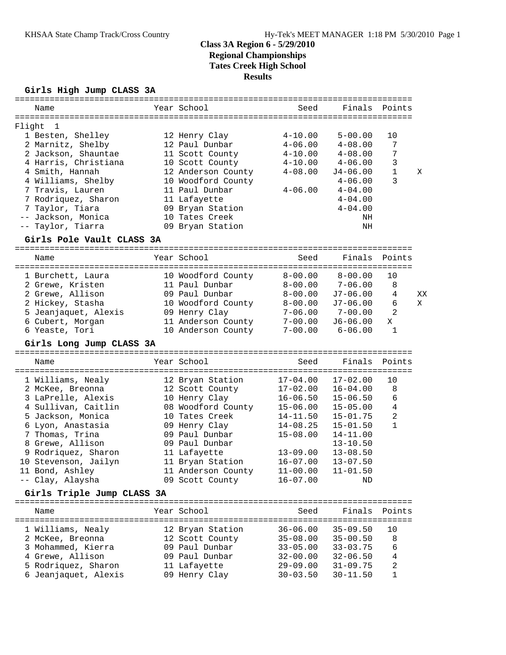# **Class 3A Region 6 - 5/29/2010 Regional Championships Tates Creek High School Results**

## **Girls High Jump CLASS 3A**

|        | Name                                        | Year School                         | Seed                         | Finals                       | Points         |    |
|--------|---------------------------------------------|-------------------------------------|------------------------------|------------------------------|----------------|----|
|        |                                             |                                     |                              |                              |                |    |
| Flight | 1                                           |                                     | $4 - 10.00$                  | $5 - 00.00$                  | 10             |    |
|        | 1 Besten, Shelley<br>2 Marnitz, Shelby      | 12 Henry Clay<br>12 Paul Dunbar     | $4 - 06.00$                  | $4 - 08.00$                  | 7              |    |
|        | 2 Jackson, Shauntae                         | 11 Scott County                     | $4 - 10.00$                  | $4 - 08.00$                  | 7              |    |
|        | 4 Harris, Christiana                        | 10 Scott County                     | $4 - 10.00$                  | $4 - 06.00$                  | 3              |    |
|        | 4 Smith, Hannah                             | 12 Anderson County                  | $4 - 08.00$                  | $J4 - 06.00$                 | $\mathbf{1}$   | Χ  |
|        | 4 Williams, Shelby                          | 10 Woodford County                  |                              | $4 - 06.00$                  | 3              |    |
|        | 7 Travis, Lauren                            | 11 Paul Dunbar                      | $4 - 06.00$                  | $4 - 04.00$                  |                |    |
|        | 7 Rodriquez, Sharon                         | 11 Lafayette                        |                              | $4 - 04.00$                  |                |    |
|        | 7 Taylor, Tiara                             | 09 Bryan Station                    |                              | $4 - 04.00$                  |                |    |
| $--$   | Jackson, Monica                             | 10 Tates Creek                      |                              | ΝH                           |                |    |
|        | -- Taylor, Tiarra                           | 09 Bryan Station                    |                              | NH                           |                |    |
|        |                                             |                                     |                              |                              |                |    |
|        | Girls Pole Vault CLASS 3A                   |                                     |                              |                              |                |    |
|        | Name                                        | Year School                         | Seed                         | Finals                       | Points         |    |
|        |                                             |                                     |                              |                              |                |    |
|        | 1 Burchett, Laura                           | 10 Woodford County                  | $8 - 00.00$                  | $8 - 00.00$                  | 10             |    |
|        | 2 Grewe, Kristen                            | 11 Paul Dunbar                      | $8 - 00.00$                  | $7 - 06.00$                  | 8              |    |
|        | 2 Grewe, Allison                            | 09 Paul Dunbar                      | $8 - 00.00$                  | $J7 - 06.00$                 | $\overline{4}$ | XX |
|        | 2 Hickey, Stasha                            | 10 Woodford County                  | $8 - 00.00$                  | $J7 - 06.00$                 | 6              | X  |
|        | 5 Jeanjaquet, Alexis                        | 09 Henry Clay                       | $7 - 06.00$                  | $7 - 00.00$                  | 2              |    |
|        | 6 Cubert, Morgan                            | 11 Anderson County                  | $7 - 00.00$                  | $J6 - 06.00$                 | X              |    |
|        | 6 Yeaste, Tori                              | 10 Anderson County                  | $7 - 00.00$                  | $6 - 06.00$                  | 1              |    |
|        |                                             |                                     |                              |                              |                |    |
|        |                                             |                                     |                              |                              |                |    |
|        | Girls Long Jump CLASS 3A                    |                                     |                              |                              |                |    |
|        |                                             |                                     |                              |                              |                |    |
|        | Name                                        | Year School                         | Seed                         | Finals                       | Points         |    |
|        |                                             |                                     | $17 - 04.00$                 | $17 - 02.00$                 | 10             |    |
|        | 1 Williams, Nealy                           | 12 Bryan Station                    |                              |                              | 8              |    |
|        | 2 McKee, Breonna                            | 12 Scott County                     | $17 - 02.00$<br>$16 - 06.50$ | $16 - 04.00$<br>$15 - 06.50$ | 6              |    |
|        | 3 LaPrelle, Alexis<br>4 Sullivan, Caitlin   | 10 Henry Clay<br>08 Woodford County | $15 - 06.00$                 | $15 - 05.00$                 | $\overline{4}$ |    |
|        | 5 Jackson, Monica                           | 10 Tates Creek                      | $14 - 11.50$                 | $15 - 01.75$                 | $\overline{a}$ |    |
|        | 6 Lyon, Anastasia                           | 09 Henry Clay                       | $14 - 08.25$                 | $15 - 01.50$                 | $\mathbf{1}$   |    |
|        | 7 Thomas, Trina                             | 09 Paul Dunbar                      | $15 - 08.00$                 | $14 - 11.00$                 |                |    |
|        | 8 Grewe, Allison                            | 09 Paul Dunbar                      |                              | $13 - 10.50$                 |                |    |
|        | 9 Rodriquez, Sharon                         | 11 Lafayette                        | $13 - 09.00$                 | $13 - 08.50$                 |                |    |
|        | 10 Stevenson, Jailyn                        | 11 Bryan Station                    | $16 - 07.00$                 | $13 - 07.50$                 |                |    |
|        | 11 Bond, Ashley                             | 11 Anderson County                  | $11 - 00.00$                 | $11 - 01.50$                 |                |    |
|        | -- Clay, Alaysha                            | 09 Scott County                     | $16 - 07.00$                 | ΝD                           |                |    |
|        |                                             |                                     |                              |                              |                |    |
|        | Girls Triple Jump CLASS 3A                  |                                     |                              |                              |                |    |
|        | Name                                        | Year School                         | Seed                         | Finals                       | Points         |    |
|        |                                             |                                     |                              |                              |                |    |
|        | 1 Williams, Nealy                           | 12 Bryan Station                    | $36 - 06.00$                 | $35 - 09.50$                 | 10             |    |
|        | 2 McKee, Breonna                            | 12 Scott County                     | $35 - 08.00$                 | $35 - 00.50$                 | 8              |    |
|        | 3 Mohammed, Kierra                          | 09 Paul Dunbar                      | $33 - 05.00$                 | $33 - 03.75$                 | 6              |    |
|        | 4 Grewe, Allison                            | 09 Paul Dunbar                      | $32 - 00.00$                 | $32 - 06.50$                 | 4              |    |
|        | 5 Rodriquez, Sharon<br>6 Jeanjaquet, Alexis | 11 Lafayette<br>09 Henry Clay       | $29 - 09.00$<br>$30 - 03.50$ | $31 - 09.75$<br>$30 - 11.50$ | 2<br>1         |    |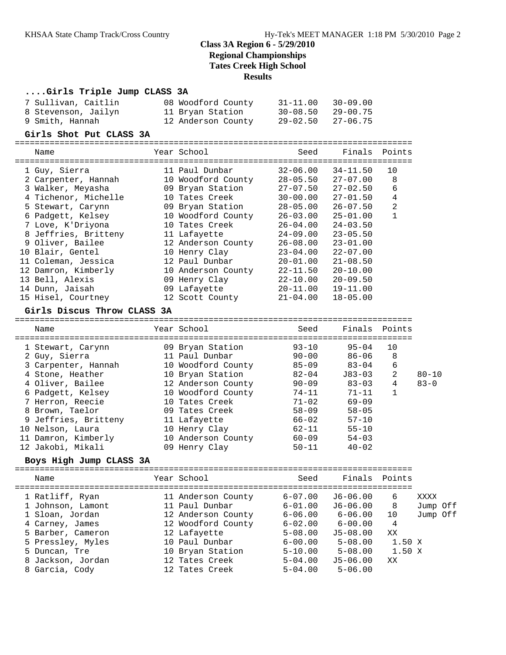## **Class 3A Region 6 - 5/29/2010 Regional Championships Tates Creek High School**

#### **Results**

### **....Girls Triple Jump CLASS 3A**

| 7 Sullivan, Caitlin | 08 Woodford County | $31 - 11.00$ $30 - 09.00$ |
|---------------------|--------------------|---------------------------|
| 8 Stevenson, Jailyn | 11 Bryan Station   | $30 - 08.50$ $29 - 00.75$ |
| 9 Smith, Hannah     | 12 Anderson County | $29 - 02.50$ $27 - 06.75$ |

#### **Girls Shot Put CLASS 3A**

================================================================================

| Year School        | Seed                       | Finals       | Points |
|--------------------|----------------------------|--------------|--------|
| 11 Paul Dunbar     | $32 - 06.00$               | $34 - 11.50$ | 10     |
| 10 Woodford County | $28 - 05.50$               | $27 - 07.00$ | 8      |
| 09 Bryan Station   | $27 - 07.50$               | $27 - 02.50$ | 6      |
| 10 Tates Creek     | $30 - 00.00$               | $27 - 01.50$ | 4      |
| 09 Bryan Station   | $28 - 05.00$               | $26 - 07.50$ | 2      |
| 10 Woodford County | $26 - 03.00$               | $25 - 01.00$ |        |
| 10 Tates Creek     | $26 - 04.00$               | $24 - 03.50$ |        |
| 11 Lafayette       | $24 - 09.00$               | $23 - 05.50$ |        |
| 12 Anderson County | $26 - 08.00$               | $23 - 01.00$ |        |
| 10 Henry Clay      | $23 - 04.00$               | $22 - 07.00$ |        |
| 12 Paul Dunbar     | $20 - 01.00$               | $21 - 08.50$ |        |
| 10 Anderson County | $22 - 11.50$               | $20 - 10.00$ |        |
| 09 Henry Clay      | $22 - 10.00$               | $20 - 09.50$ |        |
| 09 Lafayette       | $20 - 11.00$               | $19 - 11.00$ |        |
| 12 Scott County    | $21 - 04.00$               | $18 - 05.00$ |        |
|                    | ========================== |              |        |

#### **Girls Discus Throw CLASS 3A**

================================================================================ Name The Year School Seed Finals Points ================================================================================ 1 Stewart, Carynn 09 Bryan Station 93-10 95-04 10 2 Guy, Sierra 11 Paul Dunbar 90-00 86-06 8 3 Carpenter, Hannah 10 Woodford County 85-09 83-04 6 4 Stone, Heather 10 Bryan Station 82-04 J83-03 2 80-10 4 Oliver, Bailee 12 Anderson County 90-09 83-03 4 83-0 6 Padgett, Kelsey 10 Woodford County 74-11 71-11 1 7 Herron, Reecie 10 Tates Creek 71-02 69-09 8 Brown, Taelor 09 Tates Creek 58-09 58-05 9 Jeffries, Britteny 11 Lafayette 66-02 57-10 10 Nelson, Laura 10 Henry Clay 62-11 55-10 11 Damron, Kimberly 10 Anderson County 60-09 54-03 12 Jakobi, Mikali 09 Henry Clay 50-11 40-02

#### **Boys High Jump CLASS 3A**

| Name              | Year School        | Seed        | Finals      | Points |          |  |
|-------------------|--------------------|-------------|-------------|--------|----------|--|
| 1 Ratliff, Ryan   | 11 Anderson County | $6 - 07.00$ | $J6-06.00$  | 6      | XXXX     |  |
| 1 Johnson, Lamont | 11 Paul Dunbar     | $6 - 01.00$ | J6-06.00    | 8      | Jump Off |  |
| 1 Sloan, Jordan   | 12 Anderson County | $6 - 06.00$ | $6 - 06.00$ | 10     | Jump Off |  |
| 4 Carney, James   | 12 Woodford County | $6 - 02.00$ | $6 - 00.00$ | 4      |          |  |
| 5 Barber, Cameron | 12 Lafayette       | $5 - 08.00$ | $J5-08.00$  | XX     |          |  |
| 5 Pressley, Myles | 10 Paul Dunbar     | $6 - 00.00$ | $5 - 08.00$ | 1.50 X |          |  |
| 5 Duncan, Tre     | 10 Bryan Station   | $5 - 10.00$ | $5 - 08.00$ | 1.50 X |          |  |
| 8 Jackson, Jordan | 12 Tates Creek     | $5 - 04.00$ | $J5-06.00$  | XX     |          |  |
| 8 Garcia, Cody    | 12 Tates Creek     | $5 - 04.00$ | $5 - 06.00$ |        |          |  |
|                   |                    |             |             |        |          |  |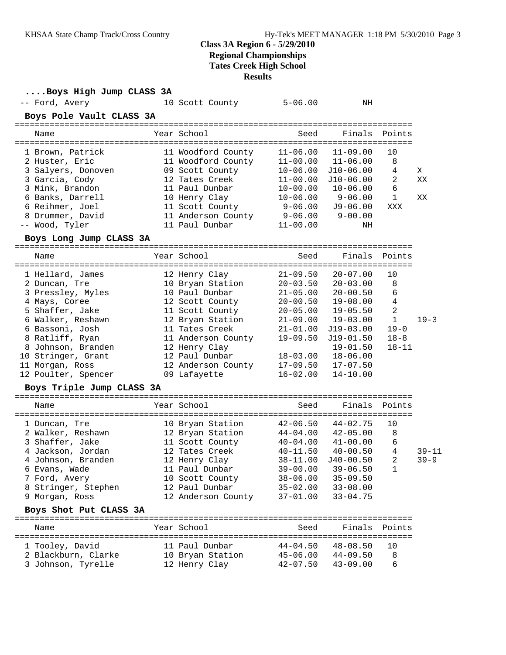### **Class 3A Region 6 - 5/29/2010**

**Regional Championships**

**Tates Creek High School**

**Results**

| Boys High Jump CLASS 3A   |                    |                             |               |                       |           |
|---------------------------|--------------------|-----------------------------|---------------|-----------------------|-----------|
| -- Ford, Avery            | 10 Scott County    | $5 - 06.00$                 | ΝH            |                       |           |
| Boys Pole Vault CLASS 3A  |                    |                             |               |                       |           |
| Name                      | Year School        | Seed                        | Finals        | Points                |           |
| 1 Brown, Patrick          | 11 Woodford County | $11 - 06.00$                | $11 - 09.00$  | 10                    |           |
| 2 Huster, Eric            | 11 Woodford County | $11 - 00.00$                | $11 - 06.00$  | 8                     |           |
| 3 Salyers, Donoven        | 09 Scott County    | $10 - 06.00$                | $J10-06.00$   | 4                     | Χ         |
| 3 Garcia, Cody            | 12 Tates Creek     | $11 - 00.00$                | $J10-06.00$   | 2                     | XX        |
| 3 Mink, Brandon           | 11 Paul Dunbar     | $10 - 00.00$                | $10 - 06.00$  | 6                     |           |
| 6 Banks, Darrell          | 10 Henry Clay      | $10 - 06.00$                | $9 - 06.00$   | $\mathbf{1}$          | XX        |
| 6 Reihmer, Joel           | 11 Scott County    | $9 - 06.00$                 | $J9-06.00$    | XXX                   |           |
| 8 Drummer, David          | 11 Anderson County | $9 - 06.00$                 | $9 - 00.00$   |                       |           |
| -- Wood, Tyler            | 11 Paul Dunbar     | $11 - 00.00$                | ΝH            |                       |           |
| Boys Long Jump CLASS 3A   |                    |                             |               |                       |           |
| Name                      | Year School        | Seed                        | Finals        | Points                |           |
| 1 Hellard, James          | 12 Henry Clay      | $21 - 09.50$                | $20 - 07.00$  | 10                    |           |
| 2 Duncan, Tre             | 10 Bryan Station   | $20 - 03.50$                | $20 - 03.00$  | 8                     |           |
| 3 Pressley, Myles         | 10 Paul Dunbar     | $21 - 05.00$                | $20 - 00.50$  | 6                     |           |
| 4 Mays, Coree             | 12 Scott County    | $20 - 00.50$                | $19 - 08.00$  | 4                     |           |
| 5 Shaffer, Jake           | 11 Scott County    | $20 - 05.00$                | $19 - 05.50$  | 2                     |           |
| 6 Walker, Reshawn         | 12 Bryan Station   | $21 - 09.00$                | $19 - 03.00$  | $\mathbf 1$           | $19 - 3$  |
| 6 Bassoni, Josh           | 11 Tates Creek     | $21 - 01.00$                | $J19-03.00$   | $19 - 0$              |           |
| 8 Ratliff, Ryan           | 11 Anderson County | $19 - 09.50$                | $J19-01.50$   | $18 - 8$              |           |
| 8 Johnson, Branden        | 12 Henry Clay      |                             | $19 - 01.50$  | $18 - 11$             |           |
| 10 Stringer, Grant        | 12 Paul Dunbar     | $18 - 03.00$                | $18 - 06.00$  |                       |           |
| 11 Morgan, Ross           | 12 Anderson County | $17 - 09.50$                | $17 - 07.50$  |                       |           |
| 12 Poulter, Spencer       | 09 Lafayette       | $16 - 02.00$                | $14 - 10.00$  |                       |           |
| Boys Triple Jump CLASS 3A |                    |                             |               |                       |           |
| Name                      | Year School        | Seed                        | Finals        | Points                |           |
| 1 Duncan, Tre             | 10 Bryan Station   | $42 - 06.50$                | $44 - 02.75$  | 10                    |           |
| 2 Walker, Reshawn         | 12 Bryan Station   | $44 - 04.00$                | $42 - 05.00$  | 8                     |           |
| 3 Shaffer, Jake           | 11 Scott County    | $40 - 04.00$                | $41 - 00.00$  | 6                     |           |
| 4 Jackson, Jordan         | 12 Tates Creek     | $40 - 11.50$                | $40 - 00.50$  | 4                     | $39 - 11$ |
| 4 Johnson, Branden        | 12 Henry Clay      | $38 - 11.00$                | $J40 - 00.50$ | 2                     | $39 - 9$  |
| 6 Evans, Wade             | 11 Paul Dunbar     | $39 - 00.00$                | $39 - 06.50$  | 1                     |           |
| 7 Ford, Avery             | 10 Scott County    | $38 - 06.00$                | $35 - 09.50$  |                       |           |
| 8 Stringer, Stephen       | 12 Paul Dunbar     | $35 - 02.00$                | $33 - 08.00$  |                       |           |
| 9 Morgan, Ross            | 12 Anderson County | $37 - 01.00$                | $33 - 04.75$  |                       |           |
| Boys Shot Put CLASS 3A    |                    |                             |               |                       |           |
| Name                      | Year School        | Seed<br>=================== | Finals        | Points<br>=========== |           |
| 1 Tooley, David           | 11 Paul Dunbar     | $44 - 04.50$                | $48 - 08.50$  | 10                    |           |
| 2 Blackburn, Clarke       | 10 Bryan Station   | $45 - 06.00$                | $44 - 09.50$  | 8                     |           |
| 3 Johnson, Tyrelle        | 12 Henry Clay      | $42 - 07.50$                | $43 - 09.00$  | 6                     |           |